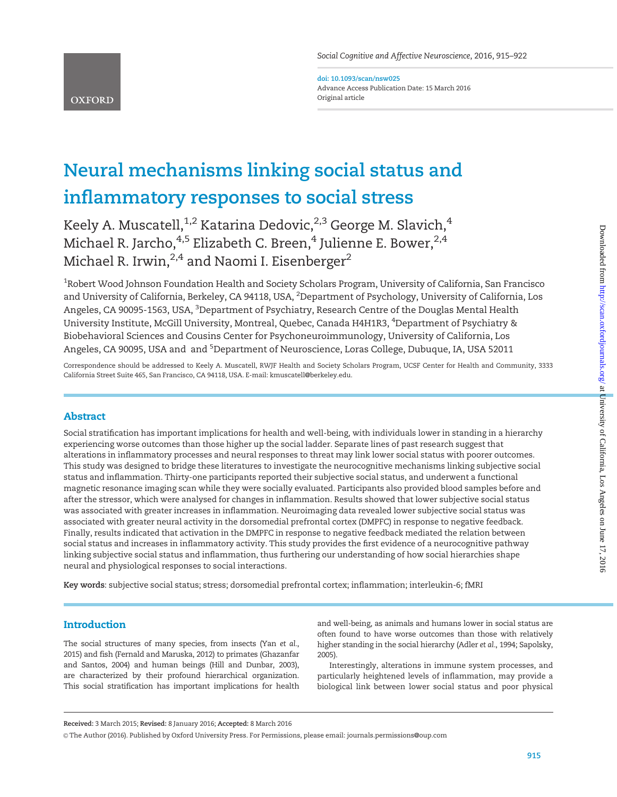## Social Cognitive and Affective Neuroscience, 2016, 915–922

doi: 10.1093/scan/nsw025 Advance Access Publication Date: 15 March 2016 Original article

# Neural mechanisms linking social status and inflammatory responses to social stress

Keely A. Muscatell,<sup>1,2</sup> Katarina Dedovic,<sup>2,3</sup> George M. Slavich,<sup>4</sup> Michael R. Jarcho,  $4.5$  Elizabeth C. Breen,  $4$  Julienne E. Bower,  $2.4$ Michael R. Irwin, $2,4$  and Naomi I. Eisenberger<sup>2</sup>

 $^{\rm 1}$ Robert Wood Johnson Foundation Health and Society Scholars Program, University of California, San Francisco and University of California, Berkeley, CA 94118, USA, <sup>2</sup>Department of Psychology, University of California, Los Angeles, CA 90095-1563, USA, <sup>3</sup>Department of Psychiatry, Research Centre of the Douglas Mental Health University Institute, McGill University, Montreal, Quebec, Canada H4H1R3, <sup>4</sup>Department of Psychiatry & Biobehavioral Sciences and Cousins Center for Psychoneuroimmunology, University of California, Los Angeles, CA 90095, USA and and <sup>5</sup>Department of Neuroscience, Loras College, Dubuque, IA, USA 52011

Correspondence should be addressed to Keely A. Muscatell, RWJF Health and Society Scholars Program, UCSF Center for Health and Community, 3333 California Street Suite 465, San Francisco, CA 94118, USA. E-mail: kmuscatell@berkeley.edu.

# Abstract

Social stratification has important implications for health and well-being, with individuals lower in standing in a hierarchy experiencing worse outcomes than those higher up the social ladder. Separate lines of past research suggest that alterations in inflammatory processes and neural responses to threat may link lower social status with poorer outcomes. This study was designed to bridge these literatures to investigate the neurocognitive mechanisms linking subjective social status and inflammation. Thirty-one participants reported their subjective social status, and underwent a functional magnetic resonance imaging scan while they were socially evaluated. Participants also provided blood samples before and after the stressor, which were analysed for changes in inflammation. Results showed that lower subjective social status was associated with greater increases in inflammation. Neuroimaging data revealed lower subjective social status was associated with greater neural activity in the dorsomedial prefrontal cortex (DMPFC) in response to negative feedback. Finally, results indicated that activation in the DMPFC in response to negative feedback mediated the relation between social status and increases in inflammatory activity. This study provides the first evidence of a neurocognitive pathway linking subjective social status and inflammation, thus furthering our understanding of how social hierarchies shape neural and physiological responses to social interactions.

Key words: subjective social status; stress; dorsomedial prefrontal cortex; inflammation; interleukin-6; fMRI

# **Introduction**

The social structures of many species, from insects (Yan et al., 2015) and fish (Fernald and Maruska, 2012) to primates (Ghazanfar and Santos, 2004) and human beings (Hill and Dunbar, 2003), are characterized by their profound hierarchical organization. This social stratification has important implications for health and well-being, as animals and humans lower in social status are often found to have worse outcomes than those with relatively higher standing in the social hierarchy (Adler et al., 1994; Sapolsky, 2005).

Interestingly, alterations in immune system processes, and particularly heightened levels of inflammation, may provide a biological link between lower social status and poor physical

Received: 3 March 2015; Revised: 8 January 2016; Accepted: 8 March 2016

V<sup>C</sup> The Author (2016). Published by Oxford University Press. For Permissions, please email: journals.permissions@oup.com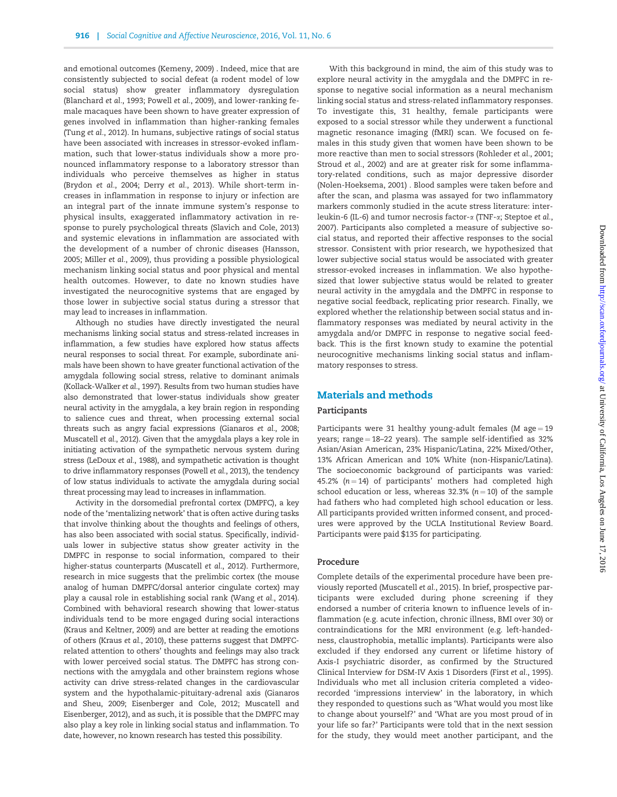and emotional outcomes (Kemeny, 2009) . Indeed, mice that are consistently subjected to social defeat (a rodent model of low social status) show greater inflammatory dysregulation (Blanchard et al., 1993; Powell et al., 2009), and lower-ranking female macaques have been shown to have greater expression of genes involved in inflammation than higher-ranking females (Tung et al., 2012). In humans, subjective ratings of social status have been associated with increases in stressor-evoked inflammation, such that lower-status individuals show a more pronounced inflammatory response to a laboratory stressor than individuals who perceive themselves as higher in status (Brydon et al., 2004; Derry et al., 2013). While short-term increases in inflammation in response to injury or infection are an integral part of the innate immune system's response to physical insults, exaggerated inflammatory activation in response to purely psychological threats (Slavich and Cole, 2013) and systemic elevations in inflammation are associated with the development of a number of chronic diseases (Hansson, 2005; Miller et al., 2009), thus providing a possible physiological mechanism linking social status and poor physical and mental health outcomes. However, to date no known studies have investigated the neurocognitive systems that are engaged by those lower in subjective social status during a stressor that may lead to increases in inflammation.

Although no studies have directly investigated the neural mechanisms linking social status and stress-related increases in inflammation, a few studies have explored how status affects neural responses to social threat. For example, subordinate animals have been shown to have greater functional activation of the amygdala following social stress, relative to dominant animals (Kollack-Walker et al., 1997). Results from two human studies have also demonstrated that lower-status individuals show greater neural activity in the amygdala, a key brain region in responding to salience cues and threat, when processing external social threats such as angry facial expressions (Gianaros et al., 2008; Muscatell et al., 2012). Given that the amygdala plays a key role in initiating activation of the sympathetic nervous system during stress (LeDoux et al., 1988), and sympathetic activation is thought to drive inflammatory responses (Powell et al., 2013), the tendency of low status individuals to activate the amygdala during social threat processing may lead to increases in inflammation.

Activity in the dorsomedial prefrontal cortex (DMPFC), a key node of the 'mentalizing network' that is often active during tasks that involve thinking about the thoughts and feelings of others, has also been associated with social status. Specifically, individuals lower in subjective status show greater activity in the DMPFC in response to social information, compared to their higher-status counterparts (Muscatell et al., 2012). Furthermore, research in mice suggests that the prelimbic cortex (the mouse analog of human DMPFC/dorsal anterior cingulate cortex) may play a causal role in establishing social rank (Wang et al., 2014). Combined with behavioral research showing that lower-status individuals tend to be more engaged during social interactions (Kraus and Keltner, 2009) and are better at reading the emotions of others (Kraus et al., 2010), these patterns suggest that DMPFCrelated attention to others' thoughts and feelings may also track with lower perceived social status. The DMPFC has strong connections with the amygdala and other brainstem regions whose activity can drive stress-related changes in the cardiovascular system and the hypothalamic-pituitary-adrenal axis (Gianaros and Sheu, 2009; Eisenberger and Cole, 2012; Muscatell and Eisenberger, 2012), and as such, it is possible that the DMPFC may also play a key role in linking social status and inflammation. To date, however, no known research has tested this possibility.

With this background in mind, the aim of this study was to explore neural activity in the amygdala and the DMPFC in response to negative social information as a neural mechanism linking social status and stress-related inflammatory responses. To investigate this, 31 healthy, female participants were exposed to a social stressor while they underwent a functional magnetic resonance imaging (fMRI) scan. We focused on females in this study given that women have been shown to be more reactive than men to social stressors (Rohleder et al., 2001; Stroud et al., 2002) and are at greater risk for some inflammatory-related conditions, such as major depressive disorder (Nolen-Hoeksema, 2001) . Blood samples were taken before and after the scan, and plasma was assayed for two inflammatory markers commonly studied in the acute stress literature: interleukin-6 (IL-6) and tumor necrosis factor-a (TNF-a; Steptoe et al., 2007). Participants also completed a measure of subjective social status, and reported their affective responses to the social stressor. Consistent with prior research, we hypothesized that lower subjective social status would be associated with greater stressor-evoked increases in inflammation. We also hypothesized that lower subjective status would be related to greater neural activity in the amygdala and the DMPFC in response to negative social feedback, replicating prior research. Finally, we explored whether the relationship between social status and inflammatory responses was mediated by neural activity in the amygdala and/or DMPFC in response to negative social feedback. This is the first known study to examine the potential neurocognitive mechanisms linking social status and inflammatory responses to stress.

# Materials and methods

## Participants

Participants were 31 healthy young-adult females (M age  $=$  19 years; range  $=$  18–22 years). The sample self-identified as 32% Asian/Asian American, 23% Hispanic/Latina, 22% Mixed/Other, 13% African American and 10% White (non-Hispanic/Latina). The socioeconomic background of participants was varied: 45.2% ( $n = 14$ ) of participants' mothers had completed high school education or less, whereas 32.3% ( $n = 10$ ) of the sample had fathers who had completed high school education or less. All participants provided written informed consent, and procedures were approved by the UCLA Institutional Review Board. Participants were paid \$135 for participating.

#### Procedure

Complete details of the experimental procedure have been previously reported (Muscatell et al., 2015). In brief, prospective participants were excluded during phone screening if they endorsed a number of criteria known to influence levels of inflammation (e.g. acute infection, chronic illness, BMI over 30) or contraindications for the MRI environment (e.g. left-handedness, claustrophobia, metallic implants). Participants were also excluded if they endorsed any current or lifetime history of Axis-I psychiatric disorder, as confirmed by the Structured Clinical Interview for DSM-IV Axis 1 Disorders (First et al., 1995). Individuals who met all inclusion criteria completed a videorecorded 'impressions interview' in the laboratory, in which they responded to questions such as 'What would you most like to change about yourself?' and 'What are you most proud of in your life so far?' Participants were told that in the next session for the study, they would meet another participant, and the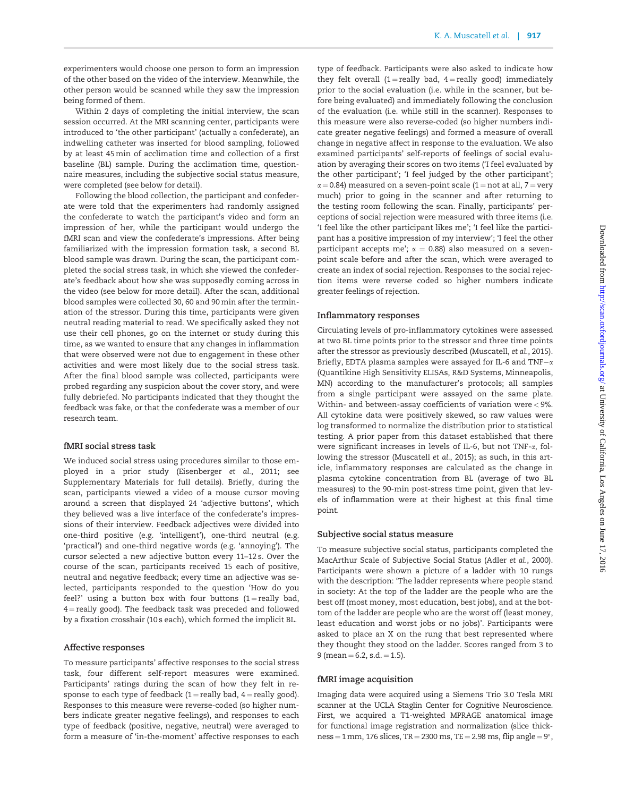experimenters would choose one person to form an impression of the other based on the video of the interview. Meanwhile, the other person would be scanned while they saw the impression being formed of them.

Within 2 days of completing the initial interview, the scan session occurred. At the MRI scanning center, participants were introduced to 'the other participant' (actually a confederate), an indwelling catheter was inserted for blood sampling, followed by at least 45 min of acclimation time and collection of a first baseline (BL) sample. During the acclimation time, questionnaire measures, including the subjective social status measure, were completed (see below for detail).

Following the blood collection, the participant and confederate were told that the experimenters had randomly assigned the confederate to watch the participant's video and form an impression of her, while the participant would undergo the fMRI scan and view the confederate's impressions. After being familiarized with the impression formation task, a second BL blood sample was drawn. During the scan, the participant completed the social stress task, in which she viewed the confederate's feedback about how she was supposedly coming across in the video (see below for more detail). After the scan, additional blood samples were collected 30, 60 and 90 min after the termination of the stressor. During this time, participants were given neutral reading material to read. We specifically asked they not use their cell phones, go on the internet or study during this time, as we wanted to ensure that any changes in inflammation that were observed were not due to engagement in these other activities and were most likely due to the social stress task. After the final blood sample was collected, participants were probed regarding any suspicion about the cover story, and were fully debriefed. No participants indicated that they thought the feedback was fake, or that the confederate was a member of our research team.

## fMRI social stress task

We induced social stress using procedures similar to those employed in a prior study (Eisenberger et al., 2011; see Supplementary Materials for full details). Briefly, during the scan, participants viewed a video of a mouse cursor moving around a screen that displayed 24 'adjective buttons', which they believed was a live interface of the confederate's impressions of their interview. Feedback adjectives were divided into one-third positive (e.g. 'intelligent'), one-third neutral (e.g. 'practical') and one-third negative words (e.g. 'annoying'). The cursor selected a new adjective button every 11–12 s. Over the course of the scan, participants received 15 each of positive, neutral and negative feedback; every time an adjective was selected, participants responded to the question 'How do you feel?' using a button box with four buttons  $(1 = \text{really bad},$  $4 =$ really good). The feedback task was preceded and followed by a fixation crosshair (10 s each), which formed the implicit BL.

## Affective responses

To measure participants' affective responses to the social stress task, four different self-report measures were examined. Participants' ratings during the scan of how they felt in response to each type of feedback  $(1 = \text{really bad}, 4 = \text{really good}).$ Responses to this measure were reverse-coded (so higher numbers indicate greater negative feelings), and responses to each type of feedback (positive, negative, neutral) were averaged to form a measure of 'in-the-moment' affective responses to each

type of feedback. Participants were also asked to indicate how they felt overall  $(1 =$  really bad,  $4 =$  really good) immediately prior to the social evaluation (i.e. while in the scanner, but before being evaluated) and immediately following the conclusion of the evaluation (i.e. while still in the scanner). Responses to this measure were also reverse-coded (so higher numbers indicate greater negative feelings) and formed a measure of overall change in negative affect in response to the evaluation. We also examined participants' self-reports of feelings of social evaluation by averaging their scores on two items ('I feel evaluated by the other participant'; 'I feel judged by the other participant';  $\alpha$  = 0.84) measured on a seven-point scale (1 = not at all, 7 = very much) prior to going in the scanner and after returning to the testing room following the scan. Finally, participants' perceptions of social rejection were measured with three items (i.e. 'I feel like the other participant likes me'; 'I feel like the participant has a positive impression of my interview'; 'I feel the other participant accepts me';  $\alpha = 0.88$ ) also measured on a sevenpoint scale before and after the scan, which were averaged to create an index of social rejection. Responses to the social rejection items were reverse coded so higher numbers indicate greater feelings of rejection.

#### Inflammatory responses

Circulating levels of pro-inflammatory cytokines were assessed at two BL time points prior to the stressor and three time points after the stressor as previously described (Muscatell, et al., 2015). Briefly, EDTA plasma samples were assayed for IL-6 and TNF $-\circ$ (Quantikine High Sensitivity ELISAs, R&D Systems, Minneapolis, MN) according to the manufacturer's protocols; all samples from a single participant were assayed on the same plate. Within- and between-assay coefficients of variation were < 9%. All cytokine data were positively skewed, so raw values were log transformed to normalize the distribution prior to statistical testing. A prior paper from this dataset established that there were significant increases in levels of IL-6, but not TNF-a, following the stressor (Muscatell et al., 2015); as such, in this article, inflammatory responses are calculated as the change in plasma cytokine concentration from BL (average of two BL measures) to the 90-min post-stress time point, given that levels of inflammation were at their highest at this final time point.

#### Subjective social status measure

To measure subjective social status, participants completed the MacArthur Scale of Subjective Social Status (Adler et al., 2000). Participants were shown a picture of a ladder with 10 rungs with the description: 'The ladder represents where people stand in society: At the top of the ladder are the people who are the best off (most money, most education, best jobs), and at the bottom of the ladder are people who are the worst off (least money, least education and worst jobs or no jobs)'. Participants were asked to place an X on the rung that best represented where they thought they stood on the ladder. Scores ranged from 3 to 9 (mean  $= 6.2$ , s.d.  $= 1.5$ ).

## fMRI image acquisition

Imaging data were acquired using a Siemens Trio 3.0 Tesla MRI scanner at the UCLA Staglin Center for Cognitive Neuroscience. First, we acquired a T1-weighted MPRAGE anatomical image for functional image registration and normalization (slice thickness = 1 mm, 176 slices, TR = 2300 ms, TE = 2.98 ms, flip angle =  $9^{\circ}$ ,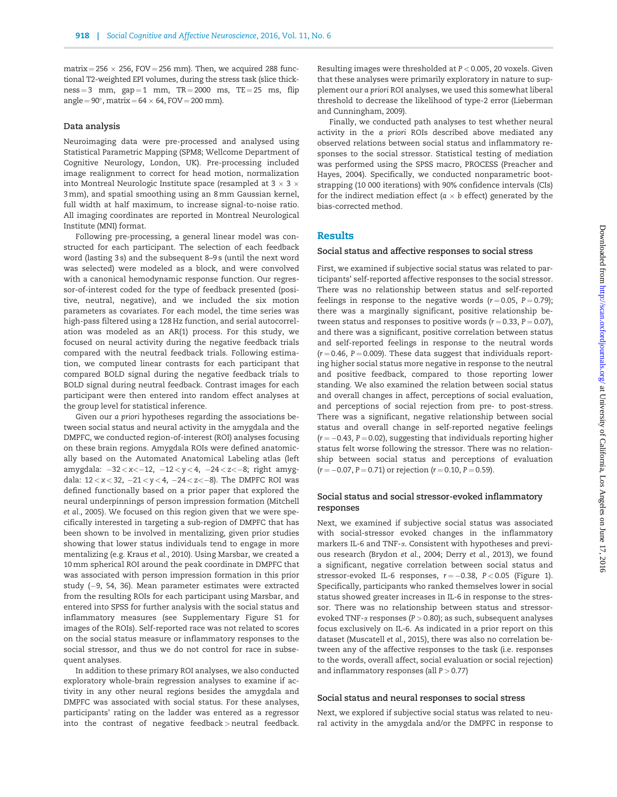matrix =  $256 \times 256$ , FOV =  $256$  mm). Then, we acquired 288 functional T2-weighted EPI volumes, during the stress task (slice thick $ness = 3$  mm,  $gap = 1$  mm,  $TR = 2000$  ms,  $TE = 25$  ms, flip angle =  $90^{\circ}$ , matrix =  $64 \times 64$ , FOV = 200 mm).

#### Data analysis

Neuroimaging data were pre-processed and analysed using Statistical Parametric Mapping (SPM8; Wellcome Department of Cognitive Neurology, London, UK). Pre-processing included image realignment to correct for head motion, normalization into Montreal Neurologic Institute space (resampled at  $3 \times 3 \times$ 3mm), and spatial smoothing using an 8mm Gaussian kernel, full width at half maximum, to increase signal-to-noise ratio. All imaging coordinates are reported in Montreal Neurological Institute (MNI) format.

Following pre-processing, a general linear model was constructed for each participant. The selection of each feedback word (lasting 3 s) and the subsequent 8–9 s (until the next word was selected) were modeled as a block, and were convolved with a canonical hemodynamic response function. Our regressor-of-interest coded for the type of feedback presented (positive, neutral, negative), and we included the six motion parameters as covariates. For each model, the time series was high-pass filtered using a 128 Hz function, and serial autocorrelation was modeled as an AR(1) process. For this study, we focused on neural activity during the negative feedback trials compared with the neutral feedback trials. Following estimation, we computed linear contrasts for each participant that compared BOLD signal during the negative feedback trials to BOLD signal during neutral feedback. Contrast images for each participant were then entered into random effect analyses at the group level for statistical inference.

Given our a priori hypotheses regarding the associations between social status and neural activity in the amygdala and the DMPFC, we conducted region-of-interest (ROI) analyses focusing on these brain regions. Amygdala ROIs were defined anatomically based on the Automated Anatomical Labeling atlas (left amygdala: –32<x<–12, –12<y<4, –24<z<–8; right amygdala: 12 < x < 32, -21 < y < 4, -24 < z<-8). The DMPFC ROI was defined functionally based on a prior paper that explored the neural underpinnings of person impression formation (Mitchell et al., 2005). We focused on this region given that we were specifically interested in targeting a sub-region of DMPFC that has been shown to be involved in mentalizing, given prior studies showing that lower status individuals tend to engage in more mentalizing (e.g. Kraus et al., 2010). Using Marsbar, we created a 10mm spherical ROI around the peak coordinate in DMPFC that was associated with person impression formation in this prior study (-9, 54, 36). Mean parameter estimates were extracted from the resulting ROIs for each participant using Marsbar, and entered into SPSS for further analysis with the social status and inflammatory measures (see Supplementary Figure S1 for images of the ROIs). Self-reported race was not related to scores on the social status measure or inflammatory responses to the social stressor, and thus we do not control for race in subsequent analyses.

In addition to these primary ROI analyses, we also conducted exploratory whole-brain regression analyses to examine if activity in any other neural regions besides the amygdala and DMPFC was associated with social status. For these analyses, participants' rating on the ladder was entered as a regressor into the contrast of negative feedback > neutral feedback. Resulting images were thresholded at P < 0.005, 20 voxels. Given that these analyses were primarily exploratory in nature to supplement our a priori ROI analyses, we used this somewhat liberal threshold to decrease the likelihood of type-2 error (Lieberman and Cunningham, 2009).

Finally, we conducted path analyses to test whether neural activity in the a priori ROIs described above mediated any observed relations between social status and inflammatory responses to the social stressor. Statistical testing of mediation was performed using the SPSS macro, PROCESS (Preacher and Hayes, 2004). Specifically, we conducted nonparametric bootstrapping (10 000 iterations) with 90% confidence intervals (CIs) for the indirect mediation effect ( $a \times b$  effect) generated by the bias-corrected method.

## Results

#### Social status and affective responses to social stress

First, we examined if subjective social status was related to participants' self-reported affective responses to the social stressor. There was no relationship between status and self-reported feelings in response to the negative words  $(r=0.05, P=0.79)$ ; there was a marginally significant, positive relationship between status and responses to positive words  $(r = 0.33, P = 0.07)$ , and there was a significant, positive correlation between status and self-reported feelings in response to the neutral words  $(r = 0.46, P = 0.009)$ . These data suggest that individuals reporting higher social status more negative in response to the neutral and positive feedback, compared to those reporting lower standing. We also examined the relation between social status and overall changes in affect, perceptions of social evaluation, and perceptions of social rejection from pre- to post-stress. There was a significant, negative relationship between social status and overall change in self-reported negative feelings  $(r = -0.43, P = 0.02)$ , suggesting that individuals reporting higher status felt worse following the stressor. There was no relationship between social status and perceptions of evaluation  $(r = -0.07, P = 0.71)$  or rejection  $(r = 0.10, P = 0.59)$ .

## Social status and social stressor-evoked inflammatory responses

Next, we examined if subjective social status was associated with social-stressor evoked changes in the inflammatory markers IL-6 and TNF-a. Consistent with hypotheses and previous research (Brydon et al., 2004; Derry et al., 2013), we found a significant, negative correlation between social status and stressor-evoked IL-6 responses,  $r = -0.38$ ,  $P < 0.05$  (Figure 1). Specifically, participants who ranked themselves lower in social status showed greater increases in IL-6 in response to the stressor. There was no relationship between status and stressorevoked TNF- $\alpha$  responses (P  $>$  0.80); as such, subsequent analyses focus exclusively on IL-6. As indicated in a prior report on this dataset (Muscatell et al., 2015), there was also no correlation between any of the affective responses to the task (i.e. responses to the words, overall affect, social evaluation or social rejection) and inflammatory responses (all  $P > 0.77$ )

#### Social status and neural responses to social stress

Next, we explored if subjective social status was related to neural activity in the amygdala and/or the DMPFC in response to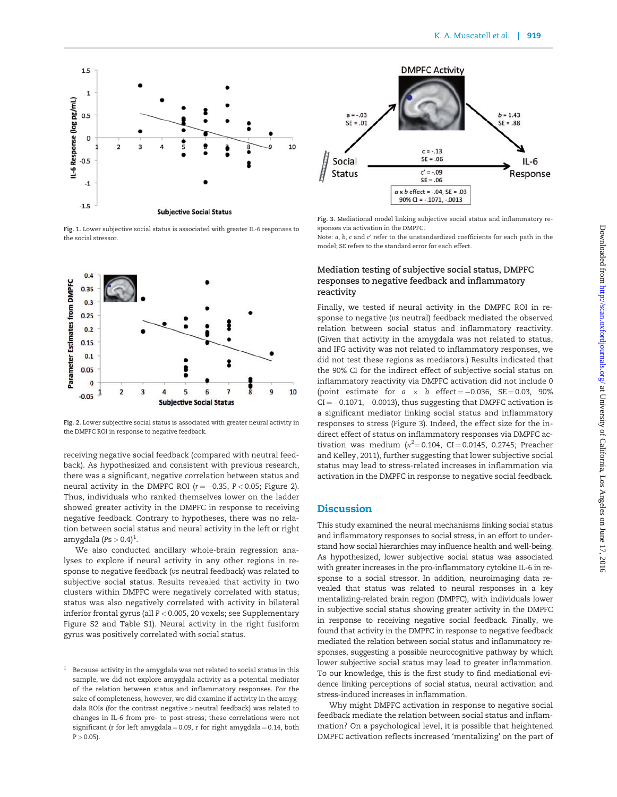

Fig. 1. Lower subjective social status is associated with greater IL-6 responses to the social stressor.



Fig. 2. Lower subjective social status is associated with greater neural activity in the DMPFC ROI in response to negative feedback.

receiving negative social feedback (compared with neutral feedback). As hypothesized and consistent with previous research, there was a significant, negative correlation between status and neural activity in the DMPFC ROI ( $r\!=\!-0.35,~P\!<\!0.05;$  Figure 2). Thus, individuals who ranked themselves lower on the ladder showed greater activity in the DMPFC in response to receiving negative feedback. Contrary to hypotheses, there was no relation between social status and neural activity in the left or right amygdala (Ps $>$  0.4)<sup>1</sup>.

We also conducted ancillary whole-brain regression analyses to explore if neural activity in any other regions in response to negative feedback (vs neutral feedback) was related to subjective social status. Results revealed that activity in two clusters within DMPFC were negatively correlated with status; status was also negatively correlated with activity in bilateral inferior frontal gyrus (all P < 0.005, 20 voxels; see Supplementary Figure S2 and Table S1). Neural activity in the right fusiform gyrus was positively correlated with social status.



Fig. 3. Mediational model linking subjective social status and inflammatory responses via activation in the DMPFC.

Note:  $a$ ,  $b$ ,  $c$  and  $c'$  refer to the unstandardized coefficients for each path in the model; SE refers to the standard error for each effect.

# Mediation testing of subjective social status, DMPFC responses to negative feedback and inflammatory reactivity

Finally, we tested if neural activity in the DMPFC ROI in response to negative (vs neutral) feedback mediated the observed relation between social status and inflammatory reactivity. (Given that activity in the amygdala was not related to status, and IFG activity was not related to inflammatory responses, we did not test these regions as mediators.) Results indicated that the 90% CI for the indirect effect of subjective social status on inflammatory reactivity via DMPFC activation did not include 0 (point estimate for  $a \times b$  effect = -0.036, SE = 0.03, 90%  $CI = -0.1071, -0.0013$ ), thus suggesting that DMPFC activation is a significant mediator linking social status and inflammatory responses to stress (Figure 3). Indeed, the effect size for the indirect effect of status on inflammatory responses via DMPFC activation was medium ( $\kappa^2$  = 0.104, CI = 0.0145, 0.2745; Preacher and Kelley, 2011), further suggesting that lower subjective social status may lead to stress-related increases in inflammation via activation in the DMPFC in response to negative social feedback.

# **Discussion**

This study examined the neural mechanisms linking social status and inflammatory responses to social stress, in an effort to understand how social hierarchies may influence health and well-being. As hypothesized, lower subjective social status was associated with greater increases in the pro-inflammatory cytokine IL-6 in response to a social stressor. In addition, neuroimaging data revealed that status was related to neural responses in a key mentalizing-related brain region (DMPFC), with individuals lower in subjective social status showing greater activity in the DMPFC in response to receiving negative social feedback. Finally, we found that activity in the DMPFC in response to negative feedback mediated the relation between social status and inflammatory responses, suggesting a possible neurocognitive pathway by which lower subjective social status may lead to greater inflammation. To our knowledge, this is the first study to find mediational evidence linking perceptions of social status, neural activation and stress-induced increases in inflammation.

Why might DMPFC activation in response to negative social feedback mediate the relation between social status and inflammation? On a psychological level, it is possible that heightened DMPFC activation reflects increased 'mentalizing' on the part of

<sup>1</sup> Because activity in the amygdala was not related to social status in this sample, we did not explore amygdala activity as a potential mediator of the relation between status and inflammatory responses. For the sake of completeness, however, we did examine if activity in the amygdala ROIs (for the contrast negative > neutral feedback) was related to changes in IL-6 from pre- to post-stress; these correlations were not significant (r for left amygdala =  $0.09$ , r for right amygdala =  $0.14$ , both  $P > 0.05$ ).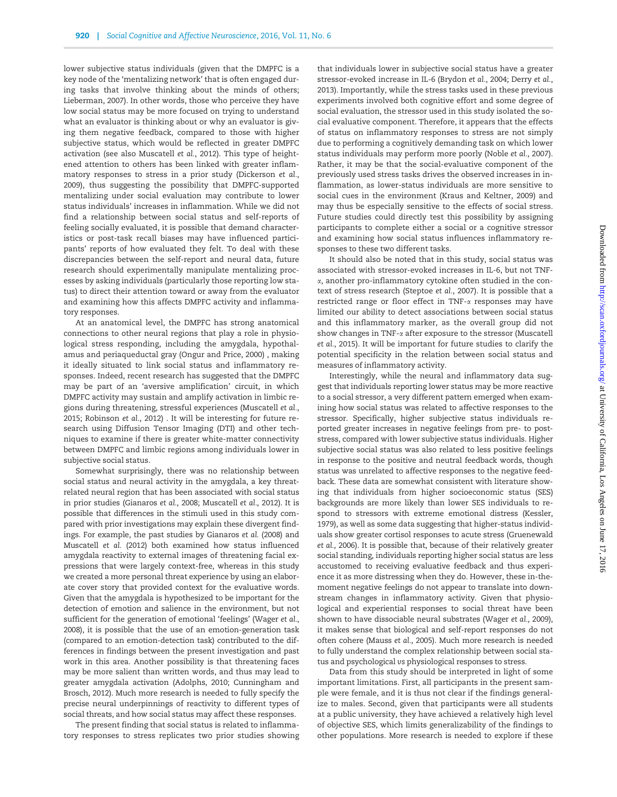lower subjective status individuals (given that the DMPFC is a key node of the 'mentalizing network' that is often engaged during tasks that involve thinking about the minds of others; Lieberman, 2007). In other words, those who perceive they have low social status may be more focused on trying to understand what an evaluator is thinking about or why an evaluator is giving them negative feedback, compared to those with higher subjective status, which would be reflected in greater DMPFC activation (see also Muscatell et al., 2012). This type of heightened attention to others has been linked with greater inflammatory responses to stress in a prior study (Dickerson et al., 2009), thus suggesting the possibility that DMPFC-supported mentalizing under social evaluation may contribute to lower status individuals' increases in inflammation. While we did not find a relationship between social status and self-reports of feeling socially evaluated, it is possible that demand characteristics or post-task recall biases may have influenced participants' reports of how evaluated they felt. To deal with these discrepancies between the self-report and neural data, future research should experimentally manipulate mentalizing processes by asking individuals (particularly those reporting low status) to direct their attention toward or away from the evaluator and examining how this affects DMPFC activity and inflammatory responses.

At an anatomical level, the DMPFC has strong anatomical connections to other neural regions that play a role in physiological stress responding, including the amygdala, hypothalamus and periaqueductal gray (Ongur and Price, 2000) , making it ideally situated to link social status and inflammatory responses. Indeed, recent research has suggested that the DMPFC may be part of an 'aversive amplification' circuit, in which DMPFC activity may sustain and amplify activation in limbic regions during threatening, stressful experiences (Muscatell et al., 2015; Robinson et al., 2012) . It will be interesting for future research using Diffusion Tensor Imaging (DTI) and other techniques to examine if there is greater white-matter connectivity between DMPFC and limbic regions among individuals lower in subjective social status.

Somewhat surprisingly, there was no relationship between social status and neural activity in the amygdala, a key threatrelated neural region that has been associated with social status in prior studies (Gianaros et al., 2008; Muscatell et al., 2012). It is possible that differences in the stimuli used in this study compared with prior investigations may explain these divergent findings. For example, the past studies by Gianaros et al. (2008) and Muscatell et al. (2012) both examined how status influenced amygdala reactivity to external images of threatening facial expressions that were largely context-free, whereas in this study we created a more personal threat experience by using an elaborate cover story that provided context for the evaluative words. Given that the amygdala is hypothesized to be important for the detection of emotion and salience in the environment, but not sufficient for the generation of emotional 'feelings' (Wager et al., 2008), it is possible that the use of an emotion-generation task (compared to an emotion-detection task) contributed to the differences in findings between the present investigation and past work in this area. Another possibility is that threatening faces may be more salient than written words, and thus may lead to greater amygdala activation (Adolphs, 2010; Cunningham and Brosch, 2012). Much more research is needed to fully specify the precise neural underpinnings of reactivity to different types of social threats, and how social status may affect these responses.

The present finding that social status is related to inflammatory responses to stress replicates two prior studies showing

that individuals lower in subjective social status have a greater stressor-evoked increase in IL-6 (Brydon et al., 2004; Derry et al., 2013). Importantly, while the stress tasks used in these previous experiments involved both cognitive effort and some degree of social evaluation, the stressor used in this study isolated the social evaluative component. Therefore, it appears that the effects of status on inflammatory responses to stress are not simply due to performing a cognitively demanding task on which lower status individuals may perform more poorly (Noble et al., 2007). Rather, it may be that the social-evaluative component of the previously used stress tasks drives the observed increases in inflammation, as lower-status individuals are more sensitive to social cues in the environment (Kraus and Keltner, 2009) and may thus be especially sensitive to the effects of social stress. Future studies could directly test this possibility by assigning participants to complete either a social or a cognitive stressor and examining how social status influences inflammatory responses to these two different tasks.

It should also be noted that in this study, social status was associated with stressor-evoked increases in IL-6, but not TNFa, another pro-inflammatory cytokine often studied in the context of stress research (Steptoe et al., 2007). It is possible that a restricted range or floor effect in TNF-a responses may have limited our ability to detect associations between social status and this inflammatory marker, as the overall group did not show changes in TNF- $\alpha$  after exposure to the stressor (Muscatell et al., 2015). It will be important for future studies to clarify the potential specificity in the relation between social status and measures of inflammatory activity.

Interestingly, while the neural and inflammatory data suggest that individuals reporting lower status may be more reactive to a social stressor, a very different pattern emerged when examining how social status was related to affective responses to the stressor. Specifically, higher subjective status individuals reported greater increases in negative feelings from pre- to poststress, compared with lower subjective status individuals. Higher subjective social status was also related to less positive feelings in response to the positive and neutral feedback words, though status was unrelated to affective responses to the negative feedback. These data are somewhat consistent with literature showing that individuals from higher socioeconomic status (SES) backgrounds are more likely than lower SES individuals to respond to stressors with extreme emotional distress (Kessler, 1979), as well as some data suggesting that higher-status individuals show greater cortisol responses to acute stress (Gruenewald et al., 2006). It is possible that, because of their relatively greater social standing, individuals reporting higher social status are less accustomed to receiving evaluative feedback and thus experience it as more distressing when they do. However, these in-themoment negative feelings do not appear to translate into downstream changes in inflammatory activity. Given that physiological and experiential responses to social threat have been shown to have dissociable neural substrates (Wager et al., 2009), it makes sense that biological and self-report responses do not often cohere (Mauss et al., 2005). Much more research is needed to fully understand the complex relationship between social status and psychological vs physiological responses to stress.

Data from this study should be interpreted in light of some important limitations. First, all participants in the present sample were female, and it is thus not clear if the findings generalize to males. Second, given that participants were all students at a public university, they have achieved a relatively high level of objective SES, which limits generalizability of the findings to other populations. More research is needed to explore if these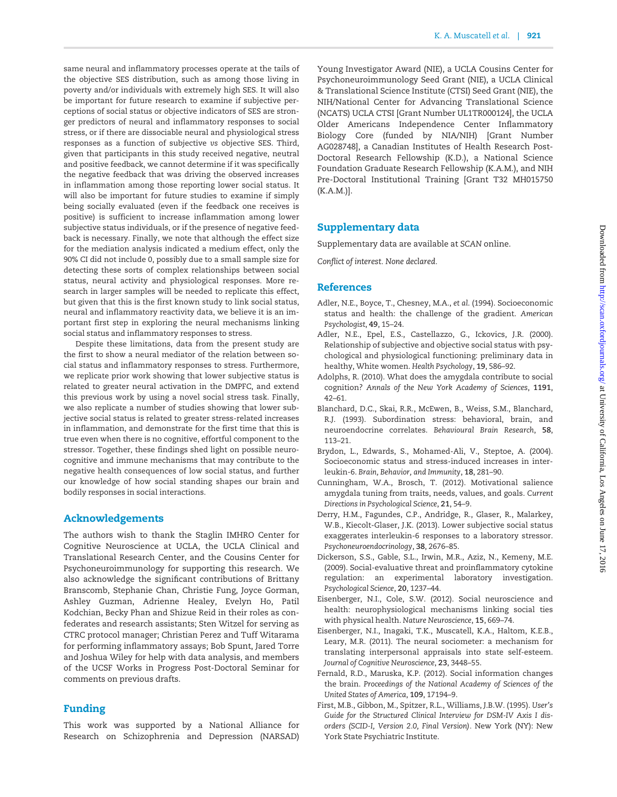same neural and inflammatory processes operate at the tails of the objective SES distribution, such as among those living in poverty and/or individuals with extremely high SES. It will also be important for future research to examine if subjective perceptions of social status or objective indicators of SES are stronger predictors of neural and inflammatory responses to social stress, or if there are dissociable neural and physiological stress responses as a function of subjective vs objective SES. Third, given that participants in this study received negative, neutral and positive feedback, we cannot determine if it was specifically the negative feedback that was driving the observed increases in inflammation among those reporting lower social status. It will also be important for future studies to examine if simply being socially evaluated (even if the feedback one receives is positive) is sufficient to increase inflammation among lower subjective status individuals, or if the presence of negative feedback is necessary. Finally, we note that although the effect size for the mediation analysis indicated a medium effect, only the 90% CI did not include 0, possibly due to a small sample size for detecting these sorts of complex relationships between social status, neural activity and physiological responses. More research in larger samples will be needed to replicate this effect, but given that this is the first known study to link social status, neural and inflammatory reactivity data, we believe it is an important first step in exploring the neural mechanisms linking social status and inflammatory responses to stress.

Despite these limitations, data from the present study are the first to show a neural mediator of the relation between social status and inflammatory responses to stress. Furthermore, we replicate prior work showing that lower subjective status is related to greater neural activation in the DMPFC, and extend this previous work by using a novel social stress task. Finally, we also replicate a number of studies showing that lower subjective social status is related to greater stress-related increases in inflammation, and demonstrate for the first time that this is true even when there is no cognitive, effortful component to the stressor. Together, these findings shed light on possible neurocognitive and immune mechanisms that may contribute to the negative health consequences of low social status, and further our knowledge of how social standing shapes our brain and bodily responses in social interactions.

# Acknowledgements

The authors wish to thank the Staglin IMHRO Center for Cognitive Neuroscience at UCLA, the UCLA Clinical and Translational Research Center, and the Cousins Center for Psychoneuroimmunology for supporting this research. We also acknowledge the significant contributions of Brittany Branscomb, Stephanie Chan, Christie Fung, Joyce Gorman, Ashley Guzman, Adrienne Healey, Evelyn Ho, Patil Kodchian, Becky Phan and Shizue Reid in their roles as confederates and research assistants; Sten Witzel for serving as CTRC protocol manager; Christian Perez and Tuff Witarama for performing inflammatory assays; Bob Spunt, Jared Torre and Joshua Wiley for help with data analysis, and members of the UCSF Works in Progress Post-Doctoral Seminar for comments on previous drafts.

# Funding

This work was supported by a National Alliance for Research on Schizophrenia and Depression (NARSAD)

Young Investigator Award (NIE), a UCLA Cousins Center for Psychoneuroimmunology Seed Grant (NIE), a UCLA Clinical & Translational Science Institute (CTSI) Seed Grant (NIE), the NIH/National Center for Advancing Translational Science (NCATS) UCLA CTSI [Grant Number UL1TR000124], the UCLA Older Americans Independence Center Inflammatory Biology Core (funded by NIA/NIH) [Grant Number AG028748], a Canadian Institutes of Health Research Post-Doctoral Research Fellowship (K.D.), a National Science Foundation Graduate Research Fellowship (K.A.M.), and NIH Pre-Doctoral Institutional Training [Grant T32 MH015750 (K.A.M.)].

## Supplementary data

Supplementary data are available at SCAN online.

Conflict of interest. None declared.

# References

- Adler, N.E., Boyce, T., Chesney, M.A., et al. (1994). Socioeconomic status and health: the challenge of the gradient. American Psychologist, 49, 15–24.
- Adler, N.E., Epel, E.S., Castellazzo, G., Ickovics, J.R. (2000). Relationship of subjective and objective social status with psychological and physiological functioning: preliminary data in healthy, White women. Health Psychology, 19, 586–92.
- Adolphs, R. (2010). What does the amygdala contribute to social cognition? Annals of the New York Academy of Sciences, 1191, 42–61.
- Blanchard, D.C., Skai, R.R., McEwen, B., Weiss, S.M., Blanchard, R.J. (1993). Subordination stress: behavioral, brain, and neuroendocrine correlates. Behavioural Brain Research, 58, 113–21.
- Brydon, L., Edwards, S., Mohamed-Ali, V., Steptoe, A. (2004). Socioeconomic status and stress-induced increases in interleukin-6. Brain, Behavior, and Immunity, 18, 281–90.
- Cunningham, W.A., Brosch, T. (2012). Motivational salience amygdala tuning from traits, needs, values, and goals. Current Directions in Psychological Science, 21, 54–9.
- Derry, H.M., Fagundes, C.P., Andridge, R., Glaser, R., Malarkey, W.B., Kiecolt-Glaser, J.K. (2013). Lower subjective social status exaggerates interleukin-6 responses to a laboratory stressor. Psychoneuroendocrinology, 38, 2676–85.
- Dickerson, S.S., Gable, S.L., Irwin, M.R., Aziz, N., Kemeny, M.E. (2009). Social-evaluative threat and proinflammatory cytokine regulation: an experimental laboratory investigation. Psychological Science, 20, 1237–44.
- Eisenberger, N.I., Cole, S.W. (2012). Social neuroscience and health: neurophysiological mechanisms linking social ties with physical health. Nature Neuroscience, 15, 669–74.
- Eisenberger, N.I., Inagaki, T.K., Muscatell, K.A., Haltom, K.E.B., Leary, M.R. (2011). The neural sociometer: a mechanism for translating interpersonal appraisals into state self-esteem. Journal of Cognitive Neuroscience, 23, 3448–55.
- Fernald, R.D., Maruska, K.P. (2012). Social information changes the brain. Proceedings of the National Academy of Sciences of the United States of America, 109, 17194–9.
- First, M.B., Gibbon, M., Spitzer, R.L., Williams, J.B.W. (1995). User's Guide for the Structured Clinical Interview for DSM-IV Axis I disorders (SCID-I, Version 2.0, Final Version). New York (NY): New York State Psychiatric Institute.